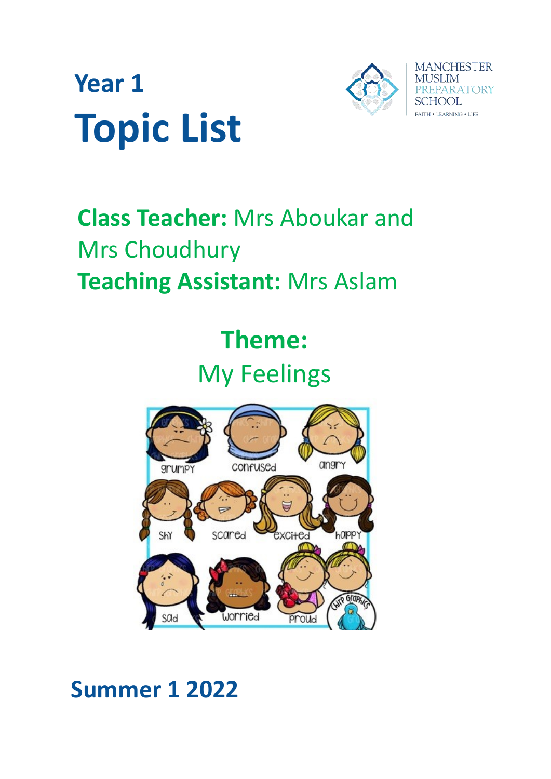



# **Class Teacher:** Mrs Aboukar and Mrs Choudhury **Teaching Assistant:** Mrs Aslam

# **Theme:** My Feelings



# **Summer 1 2022**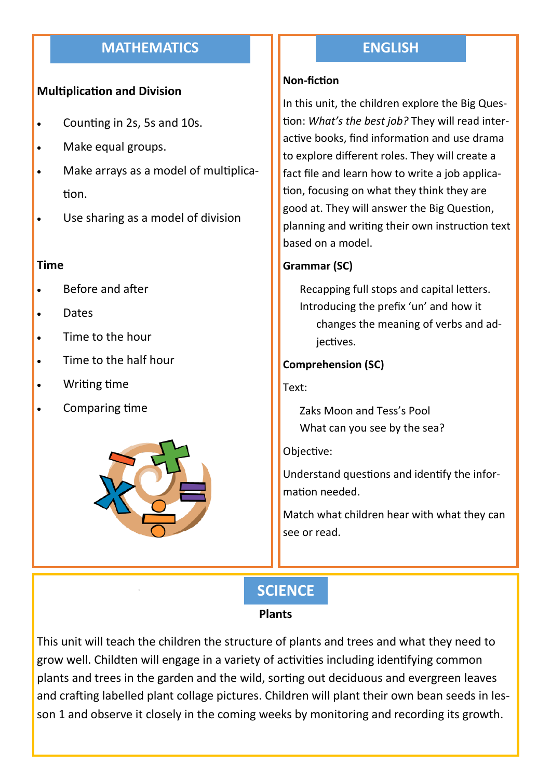# **MATHEMATICS**

#### **Multiplication and Division**

- Counting in 2s, 5s and 10s.
- Make equal groups.
- Make arrays as a model of multiplication.
- Use sharing as a model of division

#### **Time**

- Before and after
- Dates
- Time to the hour
- Time to the half hour
- Writing time
- Comparing time



## **ENGLISH**

#### **Non-fiction**

In this unit, the children explore the Big Question: *What's the best job?* They will read interactive books, find information and use drama to explore different roles. They will create a fact file and learn how to write a job application, focusing on what they think they are good at. They will answer the Big Question, planning and writing their own instruction text based on a model.

#### **Grammar (SC)**

Recapping full stops and capital letters. Introducing the prefix 'un' and how it changes the meaning of verbs and adjectives.

#### **Comprehension (SC)**

Text:

Zaks Moon and Tess's Pool What can you see by the sea?

Objective:

Understand questions and identify the information needed.

Match what children hear with what they can see or read.

# **SCIENCE**

#### **Plants**

This unit will teach the children the structure of plants and trees and what they need to grow well. Childten will engage in a variety of activities including identifying common plants and trees in the garden and the wild, sorting out deciduous and evergreen leaves and crafting labelled plant collage pictures. Children will plant their own bean seeds in lesson 1 and observe it closely in the coming weeks by monitoring and recording its growth.